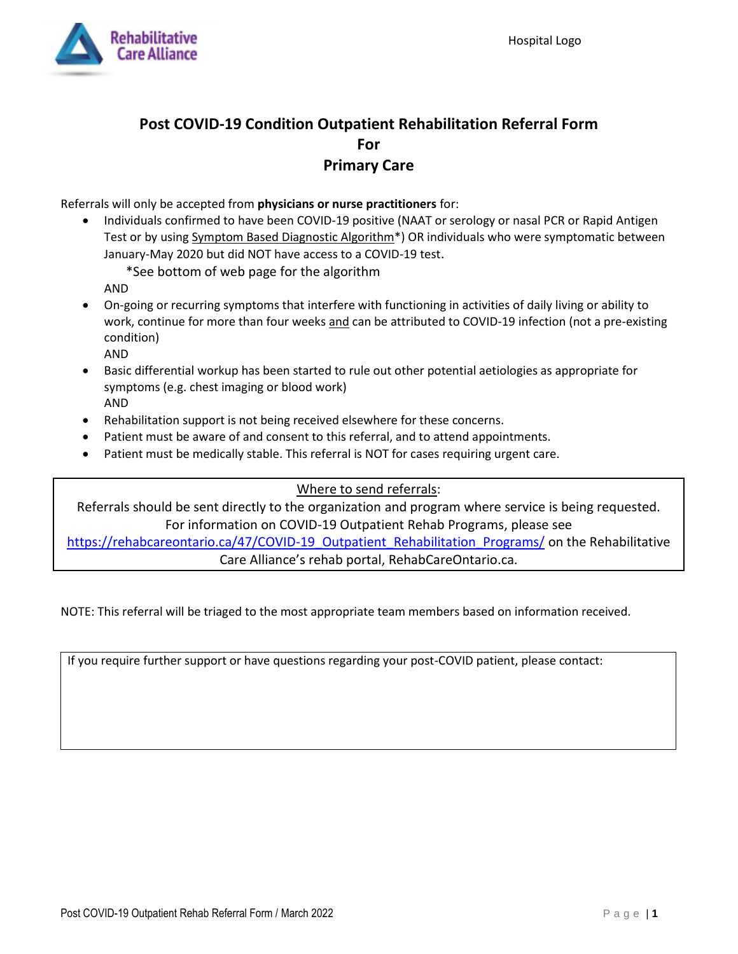

## **Post COVID-19 Condition Outpatient Rehabilitation Referral Form For Primary Care**

Referrals will only be accepted from **physicians or nurse practitioners** for:

• Individuals confirmed to have been COVID-19 positive (NAAT or serology or nasal PCR or Rapid Antigen Test or by using Symptom Based Diagnostic Algorithm<sup>\*</sup>) OR individuals who were symptomatic between January-May 2020 but did NOT have access to a COVID-19 test.

\*See bottom of web page for the algorithm

AND

- On-going or recurring symptoms that interfere with functioning in activities of daily living or ability to work, continue for more than four weeks and can be attributed to COVID-19 infection (not a pre-existing condition)
	- AND
- Basic differential workup has been started to rule out other potential aetiologies as appropriate for symptoms (e.g. chest imaging or blood work) AND
- Rehabilitation support is not being received elsewhere for these concerns.
- Patient must be aware of and consent to this referral, and to attend appointments.
- Patient must be medically stable. This referral is NOT for cases requiring urgent care.

## Where to send referrals:

Referrals should be sent directly to the organization and program where service is being requested. For information on COVID-19 Outpatient Rehab Programs, please see

https://rehabcareontario.ca/47/COVID-19 Outpatient Rehabilitation Programs/ on the Rehabilitative Care Alliance's rehab portal, RehabCareOntario.ca.

NOTE: This referral will be triaged to the most appropriate team members based on information received.

If you require further support or have questions regarding your post-COVID patient, please contact: